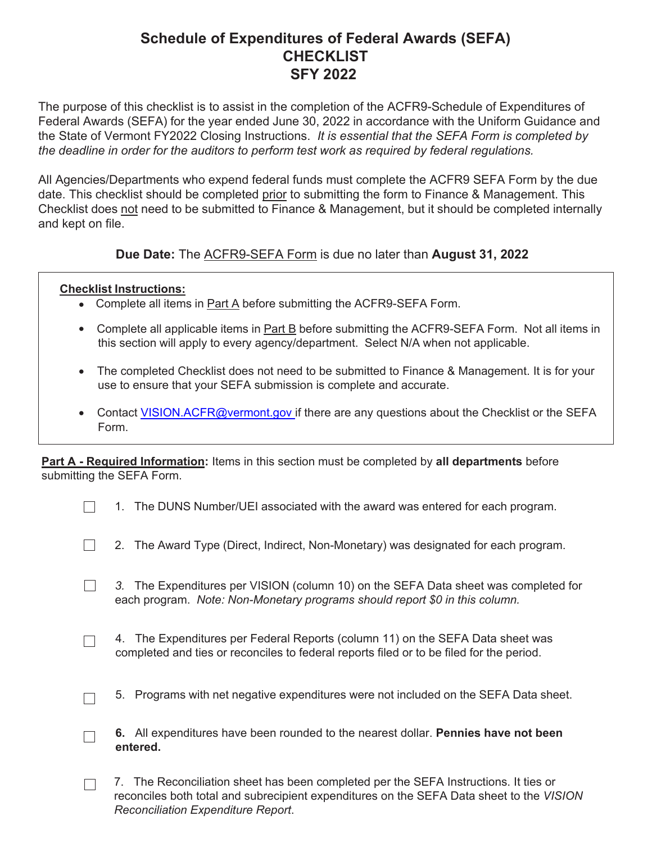## **Schedule of Expenditures of Federal Awards (SEFA) CHECKLIST SFY 2022**

The purpose of this checklist is to assist in the completion of the ACFR9-Schedule of Expenditures of Federal Awards (SEFA) for the year ended June 30, 2022 in accordance with the Uniform Guidance and the State of Vermont FY2022 Closing Instructions. *It is essential that the SEFA Form is completed by the deadline in order for the auditors to perform test work as required by federal regulations.*

All Agencies/Departments who expend federal funds must complete the ACFR9 SEFA Form by the due date. This checklist should be completed prior to submitting the form to Finance & Management. This Checklist does not need to be submitted to Finance & Management, but it should be completed internally and kept on file.

**Due Date:** The ACFR9-SEFA Form is due no later than **August 31, 2022**

## **Checklist Instructions:**

 $\Box$ 

 $\Box$ 

- Complete all items in **Part A** before submitting the ACFR9-SEFA Form.
- Complete all applicable items in **Part B** before submitting the ACFR9-SEFA Form. Not all items in this section will apply to every agency/department. Select N/A when not applicable.
- The completed Checklist does not need to be submitted to Finance & Management. It is for your use to ensure that your SEFA submission is complete and accurate.
- Contact [VISION.ACFR@vermont.gov if](mailto:VISION.ACFR@vermont.gov) there are any questions about the Checklist or the SEFA Form.

**Part A - Required Information:** Items in this section must be completed by **all departments** before submitting the SEFA Form.

- 2. The Award Type (Direct, Indirect, Non-Monetary) was designated for each program.  $\Box$
- *3.* The Expenditures per VISION (column 10) on the SEFA Data sheet was completed for  $\Box$ each program. *Note: Non-Monetary programs should report \$0 in this column.*
	- 4. The Expenditures per Federal Reports (column 11) on the SEFA Data sheet was completed and ties or reconciles to federal reports filed or to be filed for the period.
	- 5. Programs with net negative expenditures were not included on the SEFA Data sheet.
- **6.** All expenditures have been rounded to the nearest dollar. **Pennies have not been**  $\Box$ **entered.**
- 7. The Reconciliation sheet has been completed per the SEFA Instructions. It ties or  $\Box$ reconciles both total and subrecipient expenditures on the SEFA Data sheet to the *VISION Reconciliation Expenditure Report*.